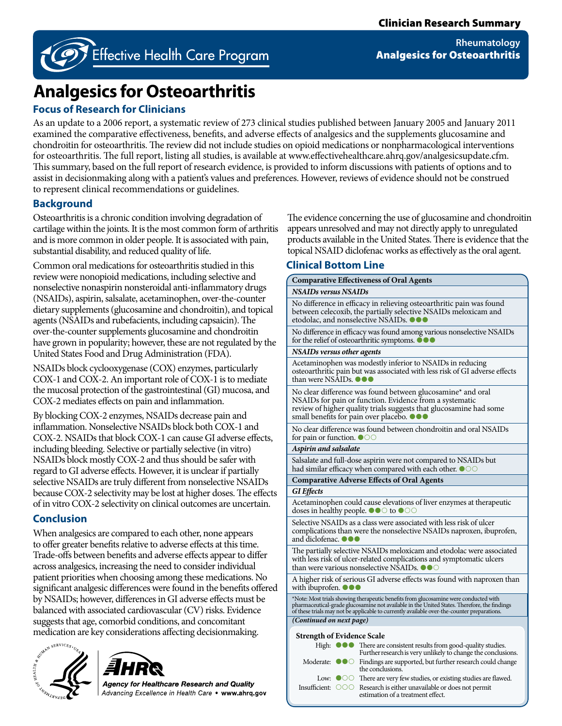

<sup>2</sup> Effective Health Care Program

**Rheumatology** Analgesics for Osteoarthritis

# **Analgesics for Osteoarthritis**

# **Focus of Research for Clinicians**

As an update to a 2006 report, a systematic review of 273 clinical studies published between January 2005 and January 2011 examined the comparative effectiveness, benefits, and adverse effects of analgesics and the supplements glucosamine and chondroitin for osteoarthritis. The review did not include studies on opioid medications or nonpharmacological interventions for osteoarthritis. The full report, listing all studies, is available at www.effectivehealthcare.ahrq.gov/analgesicsupdate.cfm. This summary, based on the full report of research evidence, is provided to inform discussions with patients of options and to assist in decisionmaking along with a patient's values and preferences. However, reviews of evidence should not be construed to represent clinical recommendations or guidelines.

# **Background**

Osteoarthritis is a chronic condition involving degradation of cartilage within the joints. It is the most common form of arthritis and is more common in older people. It is associated with pain, substantial disability, and reduced quality of life.

Common oral medications for osteoarthritis studied in this review were nonopioid medications, including selective and nonselective nonaspirin nonsteroidal anti-inflammatory drugs (NSAIDs), aspirin, salsalate, acetaminophen, over-the-counter dietary supplements (glucosamine and chondroitin), and topical agents (NSAIDs and rubefacients, including capsaicin). The over-the-counter supplements glucosamine and chondroitin have grown in popularity; however, these are not regulated by the United States Food and Drug Administration (FDA).

NSAIDs block cyclooxygenase (COX) enzymes, particularly COX-1 and COX-2. An important role of COX-1 is to mediate the mucosal protection of the gastrointestinal (GI) mucosa, and COX-2 mediates effects on pain and inflammation.

By blocking COX-2 enzymes, NSAIDs decrease pain and inflammation. Nonselective NSAIDs block both COX-1 and COX-2. NSAIDs that block COX-1 can cause GI adverse effects, including bleeding. Selective or partially selective (in vitro) NSAIDs block mostly COX-2 and thus should be safer with regard to GI adverse effects. However, it is unclear if partially selective NSAIDs are truly different from nonselective NSAIDs because COX-2 selectivity may be lost at higher doses. The effects of in vitro COX-2 selectivity on clinical outcomes are uncertain.

# **Conclusion**

When analgesics are compared to each other, none appears to offer greater benefits relative to adverse effects at this time. Trade-offs between benefits and adverse effects appear to differ across analgesics, increasing the need to consider individual patient priorities when choosing among these medications. No significant analgesic differences were found in the benefits offered by NSAIDs; however, differences in GI adverse effects must be balanced with associated cardiovascular (CV) risks. Evidence suggests that age, comorbid conditions, and concomitant medication are key considerations affecting decisionmaking.





**Agency for Healthcare Research and Quality** Advancing Excellence in Health Care . www.ahrq.gov The evidence concerning the use of glucosamine and chondroitin appears unresolved and may not directly apply to unregulated products available in the United States. There is evidence that the topical NSAID diclofenac works as effectively as the oral agent.

# **Clinical Bottom Line**

| <b>Comparative Effectiveness of Oral Agents</b>                                                                                                                                                                                       |                                                                                                                                                                                                                                                                                     |
|---------------------------------------------------------------------------------------------------------------------------------------------------------------------------------------------------------------------------------------|-------------------------------------------------------------------------------------------------------------------------------------------------------------------------------------------------------------------------------------------------------------------------------------|
| NSAIDs versus NSAIDs                                                                                                                                                                                                                  |                                                                                                                                                                                                                                                                                     |
| No difference in efficacy in relieving osteoarthritic pain was found<br>between celecoxib, the partially selective NSAIDs meloxicam and<br>etodolac, and nonselective NSAIDs.                                                         |                                                                                                                                                                                                                                                                                     |
| No difference in efficacy was found among various nonselective NSAIDs<br>for the relief of osteoarthritic symptoms.                                                                                                                   |                                                                                                                                                                                                                                                                                     |
| NSAIDs versus other agents                                                                                                                                                                                                            |                                                                                                                                                                                                                                                                                     |
| Acetaminophen was modestly inferior to NSAIDs in reducing<br>osteoarthritic pain but was associated with less risk of GI adverse effects<br>than were NSAIDs. ●●●                                                                     |                                                                                                                                                                                                                                                                                     |
| No clear difference was found between glucosamine* and oral<br>NSAIDs for pain or function. Evidence from a systematic<br>review of higher quality trials suggests that glucosamine had some<br>small benefits for pain over placebo. |                                                                                                                                                                                                                                                                                     |
| No clear difference was found between chondroitin and oral NSAIDs<br>for pain or function. $\bullet$ 00                                                                                                                               |                                                                                                                                                                                                                                                                                     |
| Aspirin and salsalate                                                                                                                                                                                                                 |                                                                                                                                                                                                                                                                                     |
| Salsalate and full-dose aspirin were not compared to NSAIDs but<br>had similar efficacy when compared with each other. $\bullet$ 00                                                                                                   |                                                                                                                                                                                                                                                                                     |
|                                                                                                                                                                                                                                       | <b>Comparative Adverse Effects of Oral Agents</b>                                                                                                                                                                                                                                   |
| <b>GI</b> Effects                                                                                                                                                                                                                     |                                                                                                                                                                                                                                                                                     |
| Acetaminophen could cause elevations of liver enzymes at therapeutic<br>doses in healthy people. $\bullet \bullet \circ \bullet \circ \circ$                                                                                          |                                                                                                                                                                                                                                                                                     |
| Selective NSAIDs as a class were associated with less risk of ulcer<br>complications than were the nonselective NSAIDs naproxen, ibuprofen,<br>and diclofenac. ●●●                                                                    |                                                                                                                                                                                                                                                                                     |
| The partially selective NSAIDs meloxicam and etodolac were associated<br>with less risk of ulcer-related complications and symptomatic ulcers<br>than were various nonselective NSAIDs. ●●                                            |                                                                                                                                                                                                                                                                                     |
| A higher risk of serious GI adverse effects was found with naproxen than<br>with ibuprofen.                                                                                                                                           |                                                                                                                                                                                                                                                                                     |
|                                                                                                                                                                                                                                       | *Note: Most trials showing therapeutic benefits from glucosamine were conducted with<br>pharmaceutical-grade glucosamine not available in the United States. Therefore, the findings<br>of these trials may not be applicable to currently available over-the-counter preparations. |
| (Continued on next page)                                                                                                                                                                                                              |                                                                                                                                                                                                                                                                                     |
| <b>Strength of Evidence Scale</b>                                                                                                                                                                                                     |                                                                                                                                                                                                                                                                                     |
| High:                                                                                                                                                                                                                                 | There are consistent results from good-quality studies.                                                                                                                                                                                                                             |
| Moderate:<br>$\bullet\bullet\circ$                                                                                                                                                                                                    | Further research is very unlikely to change the conclusions.<br>Findings are supported, but further research could change<br>the conclusions.                                                                                                                                       |
|                                                                                                                                                                                                                                       | Low: $\bigcirc$ $\bigcirc$ There are very few studies, or existing studies are flawed.                                                                                                                                                                                              |

Insufficient:  $\bigcirc$   $\bigcirc$  Research is either unavailable or does not permit estimation of a treatment effect.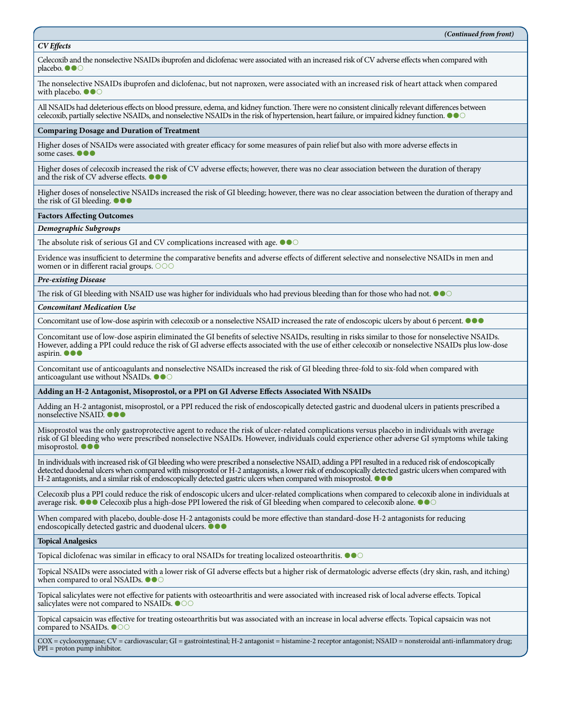#### *CV Effects*

Celecoxib and the nonselective NSAIDs ibuprofen and diclofenac were associated with an increased risk of CV adverse effects when compared with placebo.  $\bullet \bullet \circ$ 

The nonselective NSAIDs ibuprofen and diclofenac, but not naproxen, were associated with an increased risk of heart attack when compared with placebo.  $\bullet \bullet \circ$ 

All NSAIDs had deleterious effects on blood pressure, edema, and kidney function. There were no consistent clinically relevant differences between celecoxib, partially selective NSAIDs, and nonselective NSAIDs in the risk of hypertension, heart failure, or impaired kidney function.

#### **Comparing Dosage and Duration of Treatment**

Higher doses of NSAIDs were associated with greater efficacy for some measures of pain relief but also with more adverse effects in some cases.  $\bullet$ 

Higher doses of celecoxib increased the risk of CV adverse effects; however, there was no clear association between the duration of therapy and the risk of CV adverse effects.  $\bullet \bullet \bullet$ 

Higher doses of nonselective NSAIDs increased the risk of GI bleeding; however, there was no clear association between the duration of therapy and the risk of GI bleeding.

#### **Factors Affecting Outcomes**

#### *Demographic Subgroups*

The absolute risk of serious GI and CV complications increased with age.  $\bullet \bullet \circ$ 

Evidence was insufficient to determine the comparative benefits and adverse effects of different selective and nonselective NSAIDs in men and women or in different racial groups. OOO

#### *Pre-existing Disease*

The risk of GI bleeding with NSAID use was higher for individuals who had previous bleeding than for those who had not.  $\bullet \bullet \circ$ 

#### *Concomitant Medication Use*

Concomitant use of low-dose aspirin with celecoxib or a nonselective NSAID increased the rate of endoscopic ulcers by about 6 percent.  $\bullet \bullet \bullet$ 

Concomitant use of low-dose aspirin eliminated the GI benefits of selective NSAIDs, resulting in risks similar to those for nonselective NSAIDs. However, adding a PPI could reduce the risk of GI adverse effects associated with the use of either celecoxib or nonselective NSAIDs plus low-dose aspirin. **OOO** 

Concomitant use of anticoagulants and nonselective NSAIDs increased the risk of GI bleeding three-fold to six-fold when compared with anticoagulant use without NSAIDs.  $\bullet$   $\bullet$   $\circ$ 

#### **Adding an H-2 Antagonist, Misoprostol, or a PPI on GI Adverse Effects Associated With NSAIDs**

Adding an H-2 antagonist, misoprostol, or a PPI reduced the risk of endoscopically detected gastric and duodenal ulcers in patients prescribed a nonselective NSAID.

Misoprostol was the only gastroprotective agent to reduce the risk of ulcer-related complications versus placebo in individuals with average risk of GI bleeding who were prescribed nonselective NSAIDs. However, individuals could experience other adverse GI symptoms while taking misoprostol.

In individuals with increased risk of GI bleeding who were prescribed a nonselective NSAID, adding a PPI resulted in a reduced risk of endoscopically detected duodenal ulcers when compared with misoprostol or H-2 antagonists, a lower risk of endoscopically detected gastric ulcers when compared with H-2 antagonists, and a similar risk of endoscopically detected gastric ulcers when compared with misoprostol.  $\bullet \bullet \bullet$ 

Celecoxib plus a PPI could reduce the risk of endoscopic ulcers and ulcer-related complications when compared to celecoxib alone in individuals at average risk.  $\bullet\bullet\bullet$  Celecoxib plus a high-dose PPI lowered the risk of GI bleeding when compared to celecoxib alone.  $\bullet\bullet\circ$ 

When compared with placebo, double-dose H-2 antagonists could be more effective than standard-dose H-2 antagonists for reducing endoscopically detected gastric and duodenal ulcers.  $\bullet \bullet \bullet$ 

#### **Topical Analgesics**

Topical diclofenac was similar in efficacy to oral NSAIDs for treating localized osteoarthritis.  $\bullet \bullet \circ$ 

Topical NSAIDs were associated with a lower risk of GI adverse effects but a higher risk of dermatologic adverse effects (dry skin, rash, and itching) when compared to oral NSAIDs.  $\bullet \bullet \circ$ 

Topical salicylates were not effective for patients with osteoarthritis and were associated with increased risk of local adverse effects. Topical salicylates were not compared to NSAIDs.  $\bullet \circ \circ$ 

Topical capsaicin was effective for treating osteoarthritis but was associated with an increase in local adverse effects. Topical capsaicin was not compared to NSAIDs. OCC

COX = cyclooxygenase; CV = cardiovascular; GI = gastrointestinal; H-2 antagonist = histamine-2 receptor antagonist; NSAID = nonsteroidal anti-inflammatory drug; PPI = proton pump inhibitor.